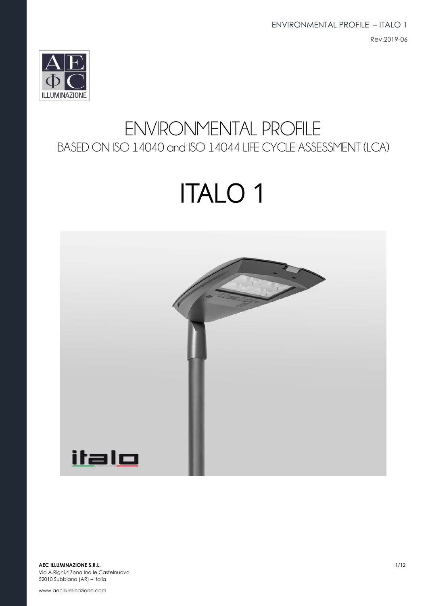ENVIRONMENTAL PROFILE – ITALO 1 Rev.2019-06



## ENVIRONMENTAL PROFILE BASED ON ISO 14040 and ISO 14044 LIFE CYCLE ASSESSMENT (LCA)

# ITALO 1

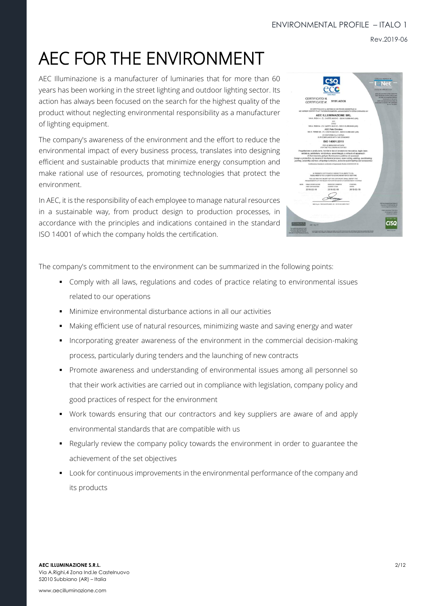Rev.2019-06

## AEC FOR THE ENVIRONMENT

AEC Illuminazione is a manufacturer of luminaries that for more than 60 years has been working in the street lighting and outdoor lighting sector. Its action has always been focused on the search for the highest quality of the product without neglecting environmental responsibility as a manufacturer of lighting equipment.

The company's awareness of the environment and the effort to reduce the environmental impact of every business process, translates into designing efficient and sustainable products that minimize energy consumption and make rational use of resources, promoting technologies that protect the environment.

In AEC, it is the responsibility of each employee to manage natural resources in a sustainable way, from product design to production processes, in accordance with the principles and indications contained in the standard ISO 14001 of which the company holds the certification.

The company's commitment to the environment can be summarized in the following points:

- Comply with all laws, regulations and codes of practice relating to environmental issues related to our operations
- Minimize environmental disturbance actions in all our activities
- Making efficient use of natural resources, minimizing waste and saving energy and water
- Incorporating greater awareness of the environment in the commercial decision-making process, particularly during tenders and the launching of new contracts
- Promote awareness and understanding of environmental issues among all personnel so that their work activities are carried out in compliance with legislation, company policy and good practices of respect for the environment
- Work towards ensuring that our contractors and key suppliers are aware of and apply environmental standards that are compatible with us
- **•** Regularly review the company policy towards the environment in order to guarantee the achievement of the set objectives
- **■** Look for continuous improvements in the environmental performance of the company and its products

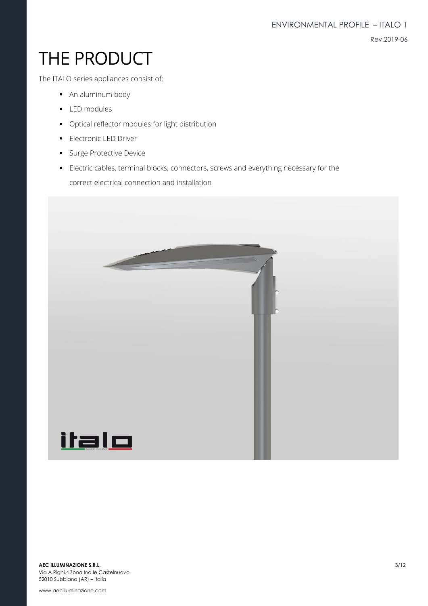## THE PRODUCT

The ITALO series appliances consist of:

- An aluminum body
- LED modules
- Optical reflector modules for light distribution
- **·** Electronic LED Driver
- **■** Surge Protective Device
- **Electric cables, terminal blocks, connectors, screws and everything necessary for the** correct electrical connection and installation

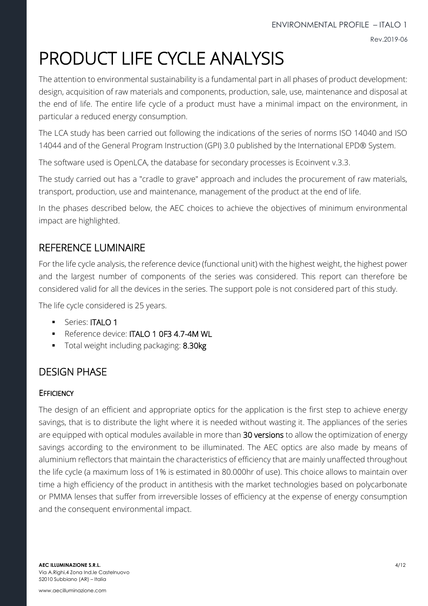## PRODUCT LIFE CYCLE ANALYSIS

The attention to environmental sustainability is a fundamental part in all phases of product development: design, acquisition of raw materials and components, production, sale, use, maintenance and disposal at the end of life. The entire life cycle of a product must have a minimal impact on the environment, in particular a reduced energy consumption.

The LCA study has been carried out following the indications of the series of norms ISO 14040 and ISO 14044 and of the General Program Instruction (GPI) 3.0 published by the International EPD® System.

The software used is OpenLCA, the database for secondary processes is Ecoinvent v.3.3.

The study carried out has a "cradle to grave" approach and includes the procurement of raw materials, transport, production, use and maintenance, management of the product at the end of life.

In the phases described below, the AEC choices to achieve the objectives of minimum environmental impact are highlighted.

## REFERENCE LUMINAIRE

For the life cycle analysis, the reference device (functional unit) with the highest weight, the highest power and the largest number of components of the series was considered. This report can therefore be considered valid for all the devices in the series. The support pole is not considered part of this study.

The life cycle considered is 25 years.

- **·** Series: **ITALO 1**
- Reference device: ITALO 1 0F3 4.7-4M WL
- Total weight including packaging: 8.30kg

## DESIGN PHASE

## **EFFICIENCY**

The design of an efficient and appropriate optics for the application is the first step to achieve energy savings, that is to distribute the light where it is needed without wasting it. The appliances of the series are equipped with optical modules available in more than 30 versions to allow the optimization of energy savings according to the environment to be illuminated. The AEC optics are also made by means of aluminium reflectors that maintain the characteristics of efficiency that are mainly unaffected throughout the life cycle (a maximum loss of 1% is estimated in 80.000hr of use). This choice allows to maintain over time a high efficiency of the product in antithesis with the market technologies based on polycarbonate or PMMA lenses that suffer from irreversible losses of efficiency at the expense of energy consumption and the consequent environmental impact.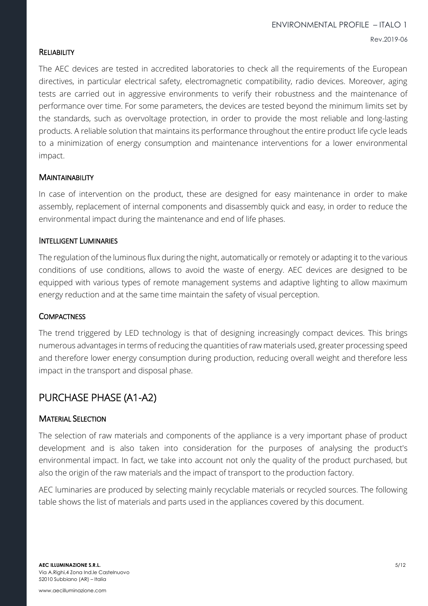#### **RELIABILITY**

The AEC devices are tested in accredited laboratories to check all the requirements of the European directives, in particular electrical safety, electromagnetic compatibility, radio devices. Moreover, aging tests are carried out in aggressive environments to verify their robustness and the maintenance of performance over time. For some parameters, the devices are tested beyond the minimum limits set by the standards, such as overvoltage protection, in order to provide the most reliable and long-lasting products. A reliable solution that maintains its performance throughout the entire product life cycle leads to a minimization of energy consumption and maintenance interventions for a lower environmental impact.

#### **MAINTAINABILITY**

In case of intervention on the product, these are designed for easy maintenance in order to make assembly, replacement of internal components and disassembly quick and easy, in order to reduce the environmental impact during the maintenance and end of life phases.

#### INTELLIGENT LUMINARIES

The regulation of the luminous flux during the night, automatically or remotely or adapting it to the various conditions of use conditions, allows to avoid the waste of energy. AEC devices are designed to be equipped with various types of remote management systems and adaptive lighting to allow maximum energy reduction and at the same time maintain the safety of visual perception.

#### **COMPACTNESS**

The trend triggered by LED technology is that of designing increasingly compact devices. This brings numerous advantages in terms of reducing the quantities of raw materials used, greater processing speed and therefore lower energy consumption during production, reducing overall weight and therefore less impact in the transport and disposal phase.

## PURCHASE PHASE (A1-A2)

#### MATERIAL SELECTION

The selection of raw materials and components of the appliance is a very important phase of product development and is also taken into consideration for the purposes of analysing the product's environmental impact. In fact, we take into account not only the quality of the product purchased, but also the origin of the raw materials and the impact of transport to the production factory.

AEC luminaries are produced by selecting mainly recyclable materials or recycled sources. The following table shows the list of materials and parts used in the appliances covered by this document.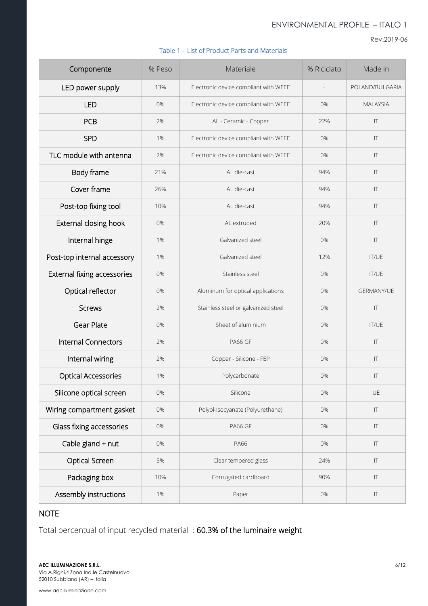Rev.2019-06

#### Table 1 – List of Product Parts and Materials

| Componente                  | % Peso | Materiale                             | % Riciclato    | Made in                |
|-----------------------------|--------|---------------------------------------|----------------|------------------------|
| LED power supply            | 13%    | Electronic device compliant with WEEE | $\overline{a}$ | POLAND/BULGARIA        |
| <b>LED</b>                  | 0%     | Electronic device compliant with WEEE | 0%             | <b>MAI AYSIA</b>       |
| <b>PCB</b>                  | 2%     | AL - Ceramic - Copper                 | 22%            | T                      |
| <b>SPD</b>                  | 1%     | Electronic device compliant with WEEE | 0%             | $ \mathsf{T} $         |
| TLC module with antenna     | 2%     | Electronic device compliant with WEEE | 0%             | IT                     |
| Body frame                  | 21%    | AL die-cast                           | 94%            | T                      |
| Cover frame                 | 26%    | AL die-cast                           | 94%            | T                      |
| Post-top fixing tool        | 10%    | AL die-cast                           | 94%            | T                      |
| External closing hook       | 0%     | AL extruded                           | 20%            | $\mathsf{I}\mathsf{T}$ |
| Internal hinge              | 1%     | Galvanized steel                      | 0%             | T                      |
| Post-top internal accessory | 1%     | Galvanized steel                      | 12%            | <b>IT/UE</b>           |
| External fixing accessories | 0%     | Stainless steel                       | 0%             | <b>IT/UE</b>           |
| Optical reflector           | 0%     | Aluminum for optical applications     | 0%             | <b>GERMANY/UE</b>      |
| <b>Screws</b>               | 2%     | Stainless steel or galvanized steel   | 0%             | T                      |
| <b>Gear Plate</b>           | 0%     | Sheet of aluminium                    | 0%             | <b>IT/UE</b>           |
| <b>Internal Connectors</b>  | 2%     | <b>PA66 GF</b>                        | 0%             | $ \mathsf{T} $         |
| Internal wiring             | 2%     | Copper - Silicone - FEP               | 0%             | IT                     |
| <b>Optical Accessories</b>  | 1%     | Polycarbonate                         | 0%             | T                      |
| Silicone optical screen     | 0%     | Silicone                              | 0%             | UE                     |
| Wiring compartment gasket   | 0%     | Polyol-Isocyanate (Polyurethane)      | 0%             | $ \mathsf{T} $         |
| Glass fixing accessories    | 0%     | PA66 GF                               | 0%             | T                      |
| Cable gland + nut           | 0%     | PA66                                  | 0%             | $ \mathsf{T} $         |
| Optical Screen              | 5%     | Clear tempered glass                  | 24%            | $ \mathsf{T} $         |
| Packaging box               | 10%    | Corrugated cardboard                  | 90%            | T                      |
| Assembly instructions       | 1%     | Paper                                 | 0%             | T                      |

## **NOTE**

Total percentual of input recycled material : 60.3% of the luminaire weight

**AEC ILLUMINAZIONE S.R.L.** 6/12 Via A.Righi,4 Zona Ind.le Castelnuovo 52010 Subbiano (AR) – Italia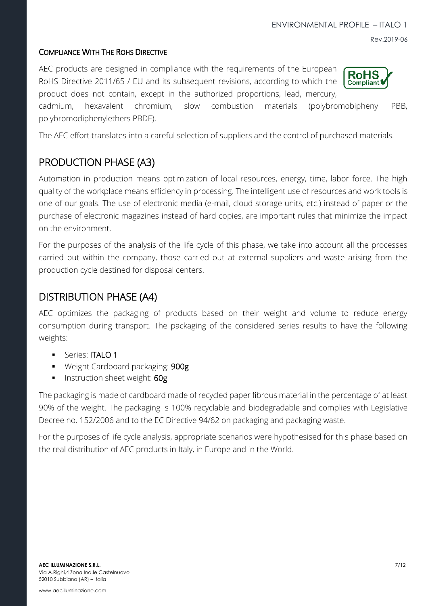### COMPLIANCE WITH THE ROHS DIRECTIVE

AEC products are designed in compliance with the requirements of the European RoHS Directive 2011/65 / EU and its subsequent revisions, according to which the product does not contain, except in the authorized proportions, lead, mercury,

cadmium, hexavalent chromium, slow combustion materials (polybromobiphenyl PBB, polybromodiphenylethers PBDE).

The AEC effort translates into a careful selection of suppliers and the control of purchased materials.

## PRODUCTION PHASE (A3)

Automation in production means optimization of local resources, energy, time, labor force. The high quality of the workplace means efficiency in processing. The intelligent use of resources and work tools is one of our goals. The use of electronic media (e-mail, cloud storage units, etc.) instead of paper or the purchase of electronic magazines instead of hard copies, are important rules that minimize the impact on the environment.

For the purposes of the analysis of the life cycle of this phase, we take into account all the processes carried out within the company, those carried out at external suppliers and waste arising from the production cycle destined for disposal centers.

## DISTRIBUTION PHASE (A4)

AEC optimizes the packaging of products based on their weight and volume to reduce energy consumption during transport. The packaging of the considered series results to have the following weights:

- **■** Series: **ITALO 1**
- Weight Cardboard packaging: 900g
- **·** Instruction sheet weight: 60g

The packaging is made of cardboard made of recycled paper fibrous material in the percentage of at least 90% of the weight. The packaging is 100% recyclable and biodegradable and complies with Legislative Decree no. 152/2006 and to the EC Directive 94/62 on packaging and packaging waste.

For the purposes of life cycle analysis, appropriate scenarios were hypothesised for this phase based on the real distribution of AEC products in Italy, in Europe and in the World.



Rev.2019-06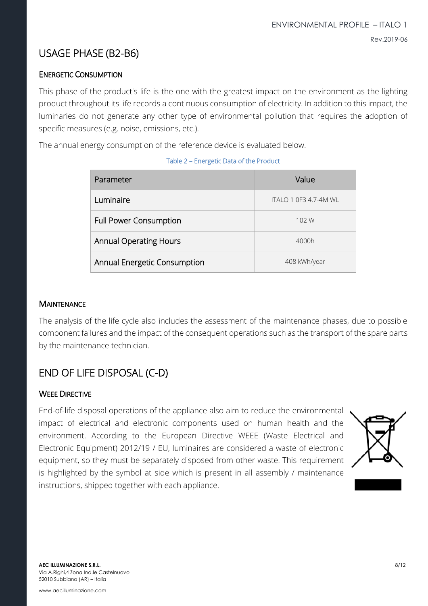## USAGE PHASE (B2-B6)

## ENERGETIC CONSUMPTION

This phase of the product's life is the one with the greatest impact on the environment as the lighting product throughout its life records a continuous consumption of electricity. In addition to this impact, the luminaries do not generate any other type of environmental pollution that requires the adoption of specific measures (e.g. noise, emissions, etc.).

The annual energy consumption of the reference device is evaluated below.

| Parameter                     | Value                 |
|-------------------------------|-----------------------|
| Luminaire                     | ITALO 1 0F3 4.7-4M WL |
| <b>Full Power Consumption</b> | 102 W                 |
| <b>Annual Operating Hours</b> | 4000h                 |
| Annual Energetic Consumption  | 408 kWh/year          |

#### Table 2 – Energetic Data of the Product

#### **MAINTENANCE**

The analysis of the life cycle also includes the assessment of the maintenance phases, due to possible component failures and the impact of the consequent operations such as the transport of the spare parts by the maintenance technician.

## END OF LIFE DISPOSAL (C-D)

#### WEEE DIRECTIVE

End-of-life disposal operations of the appliance also aim to reduce the environmental impact of electrical and electronic components used on human health and the environment. According to the European Directive WEEE (Waste Electrical and Electronic Equipment) 2012/19 / EU, luminaires are considered a waste of electronic equipment, so they must be separately disposed from other waste. This requirement is highlighted by the symbol at side which is present in all assembly / maintenance instructions, shipped together with each appliance.

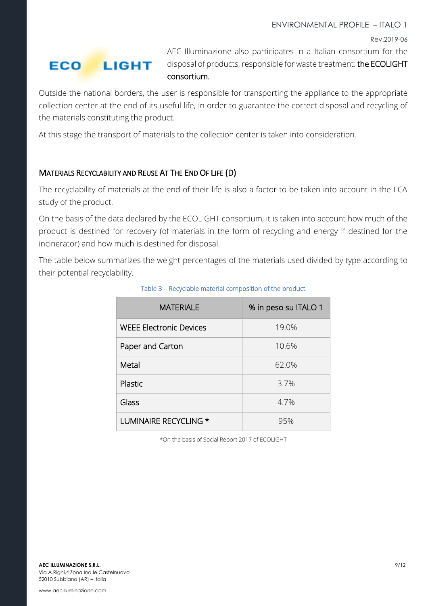Rev.2019-06

### **ECO LIGHT**

AEC Illuminazione also participates in a Italian consortium for the disposal of products, responsible for waste treatment: the ECOLIGHT consortium.

Outside the national borders, the user is responsible for transporting the appliance to the appropriate collection center at the end of its useful life, in order to guarantee the correct disposal and recycling of the materials constituting the product.

At this stage the transport of materials to the collection center is taken into consideration.

## MATERIALS RECYCLABILITY AND REUSE AT THE END OF LIFE (D)

The recyclability of materials at the end of their life is also a factor to be taken into account in the LCA study of the product.

On the basis of the data declared by the ECOLIGHT consortium, it is taken into account how much of the product is destined for recovery (of materials in the form of recycling and energy if destined for the incinerator) and how much is destined for disposal.

The table below summarizes the weight percentages of the materials used divided by type according to their potential recyclability.

| <b>MATERIALE</b>               | % in peso su ITALO 1 |
|--------------------------------|----------------------|
| <b>WEEE Electronic Devices</b> | 19.0%                |
| Paper and Carton               | 10.6%                |
| Metal                          | 62.0%                |
| Plastic                        | 3.7%                 |
| Glass                          | 4.7%                 |
| LUMINAIRE RECYCLING *          | 95%                  |

### Table 3 – Recyclable material composition of the product

\*On the basis of Social Report 2017 of ECOLIGHT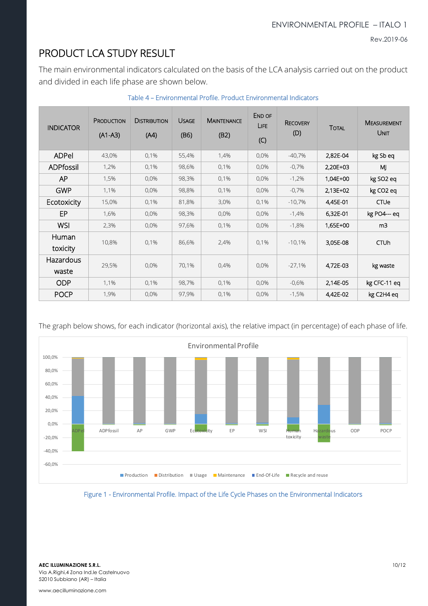Rev.2019-06

## PRODUCT LCA STUDY RESULT

The main environmental indicators calculated on the basis of the LCA analysis carried out on the product and divided in each life phase are shown below.

| <b>INDICATOR</b>   | PRODUCTION<br>$(A1-A3)$ | <b>DISTRIBUTION</b><br>(A4) | <b>USAGE</b><br>(B6) | <b>MAINTENANCE</b><br>(B2) | END OF<br>LIFE<br>(C) | <b>RECOVERY</b><br>(D) | <b>TOTAL</b> | <b>MEASUREMENT</b><br>UNIT |
|--------------------|-------------------------|-----------------------------|----------------------|----------------------------|-----------------------|------------------------|--------------|----------------------------|
| <b>ADPel</b>       | 43,0%                   | 0,1%                        | 55,4%                | 1,4%                       | 0,0%                  | $-40,7%$               | 2,82E-04     | kg Sb eq                   |
| ADPfossil          | 1,2%                    | 0,1%                        | 98,6%                | 0,1%                       | $0.0\%$               | $-0.7%$                | 2,20E+03     | M                          |
| <b>AP</b>          | 1,5%                    | 0,0%                        | 98,3%                | 0,1%                       | 0,0%                  | $-1,2%$                | 1,04E+00     | kg SO <sub>2</sub> eq      |
| <b>GWP</b>         | 1,1%                    | 0,0%                        | 98,8%                | 0,1%                       | 0,0%                  | $-0.7%$                | $2,13E+02$   | kg CO <sub>2</sub> eq      |
| Ecotoxicity        | 15,0%                   | 0,1%                        | 81,8%                | 3,0%                       | 0,1%                  | $-10,7%$               | 4,45E-01     | <b>CTUe</b>                |
| EP                 | 1,6%                    | 0,0%                        | 98,3%                | 0,0%                       | 0,0%                  | $-1,4%$                | 6,32E-01     | kg PO4-- eq                |
| <b>WSI</b>         | 2,3%                    | 0,0%                        | 97,6%                | 0,1%                       | 0,0%                  | $-1,8%$                | 1,65E+00     | m <sub>3</sub>             |
| Human<br>toxicity  | 10,8%                   | 0,1%                        | 86,6%                | 2,4%                       | 0,1%                  | $-10,1%$               | 3,05E-08     | <b>CTUh</b>                |
| Hazardous<br>waste | 29,5%                   | 0,0%                        | 70,1%                | 0,4%                       | $0.0\%$               | $-27,1%$               | 4,72E-03     | kg waste                   |
| <b>ODP</b>         | 1,1%                    | 0,1%                        | 98,7%                | 0,1%                       | 0,0%                  | $-0.6%$                | 2,14E-05     | kg CFC-11 eq               |
| <b>POCP</b>        | 1,9%                    | 0,0%                        | 97,9%                | 0,1%                       | 0,0%                  | $-1,5%$                | 4,42E-02     | kg C2H4 eq                 |

#### Table 4 – Environmental Profile. Product Environmental Indicators

The graph below shows, for each indicator (horizontal axis), the relative impact (in percentage) of each phase of life.



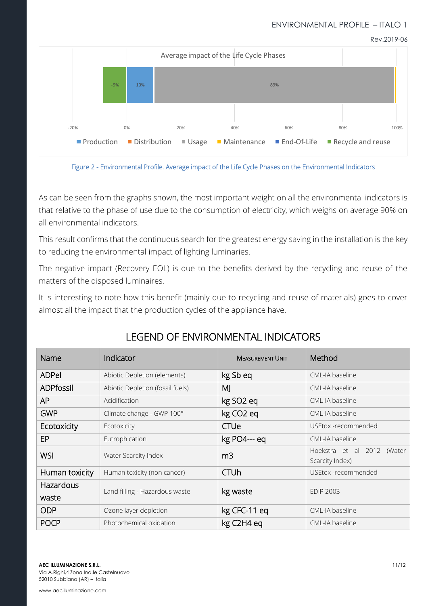Rev.2019-06





As can be seen from the graphs shown, the most important weight on all the environmental indicators is that relative to the phase of use due to the consumption of electricity, which weighs on average 90% on all environmental indicators.

This result confirms that the continuous search for the greatest energy saving in the installation is the key to reducing the environmental impact of lighting luminaries.

The negative impact (Recovery EOL) is due to the benefits derived by the recycling and reuse of the matters of the disposed luminaires.

It is interesting to note how this benefit (mainly due to recycling and reuse of materials) goes to cover almost all the impact that the production cycles of the appliance have.

| Name               | Indicator                        | <b>MEASUREMENT UNIT</b> | Method                                           |  |  |
|--------------------|----------------------------------|-------------------------|--------------------------------------------------|--|--|
| <b>ADPel</b>       | Abiotic Depletion (elements)     | kg Sb eq                | CML-IA baseline                                  |  |  |
| <b>ADPfossil</b>   | Abiotic Depletion (fossil fuels) | MJ                      | CML-IA baseline                                  |  |  |
| AP.                | Acidification                    | kg SO <sub>2</sub> eq   | CML-IA baseline                                  |  |  |
| <b>GWP</b>         | Climate change - GWP 100°        | kg CO <sub>2</sub> eq   |                                                  |  |  |
| Ecotoxicity        | Ecotoxicity                      | <b>CTUe</b>             | USEtox -recommended                              |  |  |
| EP                 | Eutrophication                   | kg PO4--- eq            |                                                  |  |  |
| <b>WSI</b>         | Water Scarcity Index             | m <sub>3</sub>          | Hoekstra et al 2012<br>(Water<br>Scarcity Index) |  |  |
| Human toxicity     | Human toxicity (non cancer)      | <b>CTUh</b>             | USEtox -recommended                              |  |  |
| Hazardous<br>waste | Land filling - Hazardous waste   | kg waste                | <b>EDIP 2003</b>                                 |  |  |
| <b>ODP</b>         | Ozone layer depletion            | kg CFC-11 eq            | CML-IA baseline                                  |  |  |
| <b>POCP</b>        | Photochemical oxidation          | kg C2H4 eq              | CML-IA baseline                                  |  |  |

## LEGEND OF ENVIRONMENTAL INDICATORS